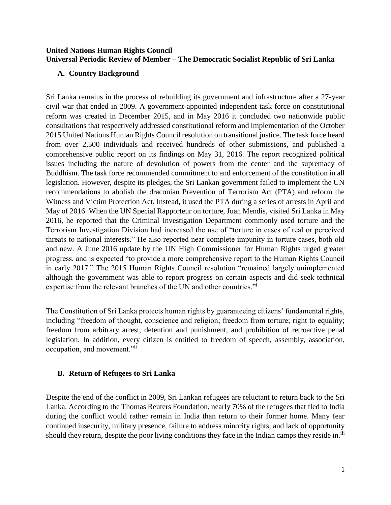### **United Nations Human Rights Council Universal Periodic Review of Member – The Democratic Socialist Republic of Sri Lanka**

## **A. Country Background**

Sri Lanka remains in the process of rebuilding its government and infrastructure after a 27-year civil war that ended in 2009. A government-appointed independent task force on constitutional reform was created in December 2015, and in May 2016 it concluded two nationwide public consultations that respectively addressed constitutional reform and implementation of the October 2015 United Nations Human Rights Council resolution on transitional justice. The task force heard from over 2,500 individuals and received hundreds of other submissions, and published a comprehensive public report on its findings on May 31, 2016. The report recognized political issues including the nature of devolution of powers from the center and the supremacy of Buddhism. The task force recommended commitment to and enforcement of the constitution in all legislation. However, despite its pledges, the Sri Lankan government failed to implement the UN recommendations to abolish the draconian Prevention of Terrorism Act (PTA) and reform the Witness and Victim Protection Act. Instead, it used the PTA during a series of arrests in April and May of 2016. When the UN Special Rapporteur on torture, Juan Mendis, visited Sri Lanka in May 2016, he reported that the Criminal Investigation Department commonly used torture and the Terrorism Investigation Division had increased the use of "torture in cases of real or perceived threats to national interests." He also reported near complete impunity in torture cases, both old and new. A June 2016 update by the UN High Commissioner for Human Rights urged greater progress, and is expected "to provide a more comprehensive report to the Human Rights Council in early 2017." The 2015 Human Rights Council resolution "remained largely unimplemented although the government was able to report progress on certain aspects and did seek technical expertise from the relevant branches of the UN and other countries."<sup>i</sup>

The Constitution of Sri Lanka protects human rights by guaranteeing citizens' fundamental rights, including "freedom of thought, conscience and religion; freedom from torture; right to equality; freedom from arbitrary arrest, detention and punishment, and prohibition of retroactive penal legislation. In addition, every citizen is entitled to freedom of speech, assembly, association, occupation, and movement."ii

## **B. Return of Refugees to Sri Lanka**

Despite the end of the conflict in 2009, Sri Lankan refugees are reluctant to return back to the Sri Lanka. According to the Thomas Reuters Foundation, nearly 70% of the refugees that fled to India during the conflict would rather remain in India than return to their former home. Many fear continued insecurity, military presence, failure to address minority rights, and lack of opportunity should they return, despite the poor living conditions they face in the Indian camps they reside in.<sup>iii</sup>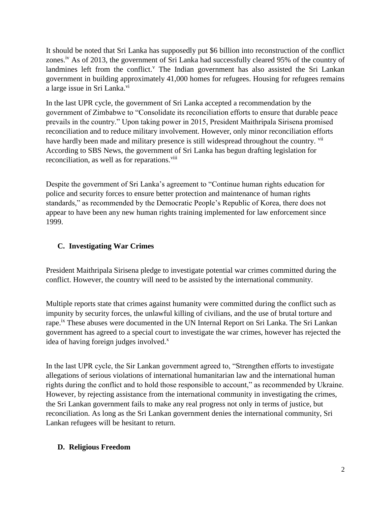It should be noted that Sri Lanka has supposedly put \$6 billion into reconstruction of the conflict zones.iv As of 2013, the government of Sri Lanka had successfully cleared 95% of the country of landmines left from the conflict.<sup> $v$ </sup> The Indian government has also assisted the Sri Lankan government in building approximately 41,000 homes for refugees. Housing for refugees remains a large issue in Sri Lanka.<sup>vi</sup>

In the last UPR cycle, the government of Sri Lanka accepted a recommendation by the government of Zimbabwe to "Consolidate its reconciliation efforts to ensure that durable peace prevails in the country." Upon taking power in 2015, President Maithripala Sirisena promised reconciliation and to reduce military involvement. However, only minor reconciliation efforts have hardly been made and military presence is still widespread throughout the country. <sup>vii</sup> According to SBS News, the government of Sri Lanka has begun drafting legislation for reconciliation, as well as for reparations.<sup>viii</sup>

Despite the government of Sri Lanka's agreement to "Continue human rights education for police and security forces to ensure better protection and maintenance of human rights standards," as recommended by the Democratic People's Republic of Korea, there does not appear to have been any new human rights training implemented for law enforcement since 1999.

# **C. Investigating War Crimes**

President Maithripala Sirisena pledge to investigate potential war crimes committed during the conflict. However, the country will need to be assisted by the international community.

Multiple reports state that crimes against humanity were committed during the conflict such as impunity by security forces, the unlawful killing of civilians, and the use of brutal torture and rape.<sup>ix</sup> These abuses were documented in the UN Internal Report on Sri Lanka. The Sri Lankan government has agreed to a special court to investigate the war crimes, however has rejected the idea of having foreign judges involved. $^x$ 

In the last UPR cycle, the Sir Lankan government agreed to, "Strengthen efforts to investigate allegations of serious violations of international humanitarian law and the international human rights during the conflict and to hold those responsible to account," as recommended by Ukraine. However, by rejecting assistance from the international community in investigating the crimes, the Sri Lankan government fails to make any real progress not only in terms of justice, but reconciliation. As long as the Sri Lankan government denies the international community, Sri Lankan refugees will be hesitant to return.

## **D. Religious Freedom**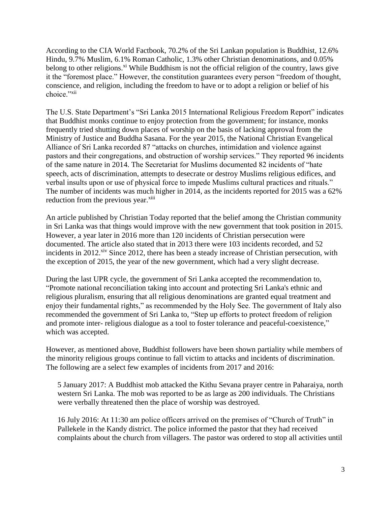According to the CIA World Factbook, 70.2% of the Sri Lankan population is Buddhist, 12.6% Hindu, 9.7% Muslim, 6.1% Roman Catholic, 1.3% other Christian denominations, and 0.05% belong to other religions.<sup>xi</sup> While Buddhism is not the official religion of the country, laws give it the "foremost place." However, the constitution guarantees every person "freedom of thought, conscience, and religion, including the freedom to have or to adopt a religion or belief of his choice."<sup>xii</sup>

The U.S. State Department's "Sri Lanka 2015 International Religious Freedom Report" indicates that Buddhist monks continue to enjoy protection from the government; for instance, monks frequently tried shutting down places of worship on the basis of lacking approval from the Ministry of Justice and Buddha Sasana. For the year 2015, the National Christian Evangelical Alliance of Sri Lanka recorded 87 "attacks on churches, intimidation and violence against pastors and their congregations, and obstruction of worship services." They reported 96 incidents of the same nature in 2014. The Secretariat for Muslims documented 82 incidents of "hate speech, acts of discrimination, attempts to desecrate or destroy Muslims religious edifices, and verbal insults upon or use of physical force to impede Muslims cultural practices and rituals." The number of incidents was much higher in 2014, as the incidents reported for 2015 was a 62% reduction from the previous year.<sup>xiii</sup>

An article published by Christian Today reported that the belief among the Christian community in Sri Lanka was that things would improve with the new government that took position in 2015. However, a year later in 2016 more than 120 incidents of Christian persecution were documented. The article also stated that in 2013 there were 103 incidents recorded, and 52 incidents in 2012.<sup>xiv</sup> Since 2012, there has been a steady increase of Christian persecution, with the exception of 2015, the year of the new government, which had a very slight decrease.

During the last UPR cycle, the government of Sri Lanka accepted the recommendation to, "Promote national reconciliation taking into account and protecting Sri Lanka's ethnic and religious pluralism, ensuring that all religious denominations are granted equal treatment and enjoy their fundamental rights," as recommended by the Holy See. The government of Italy also recommended the government of Sri Lanka to, "Step up efforts to protect freedom of religion and promote inter- religious dialogue as a tool to foster tolerance and peaceful-coexistence," which was accepted.

However, as mentioned above, Buddhist followers have been shown partiality while members of the minority religious groups continue to fall victim to attacks and incidents of discrimination. The following are a select few examples of incidents from 2017 and 2016:

5 January 2017: A Buddhist mob attacked the Kithu Sevana prayer centre in Paharaiya, north western Sri Lanka. The mob was reported to be as large as 200 individuals. The Christians were verbally threatened then the place of worship was destroyed.

16 July 2016: At 11:30 am police officers arrived on the premises of "Church of Truth" in Pallekele in the Kandy district. The police informed the pastor that they had received complaints about the church from villagers. The pastor was ordered to stop all activities until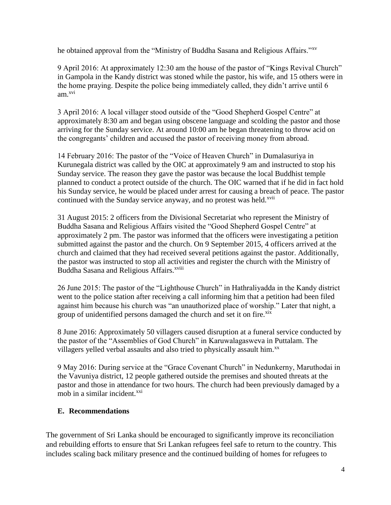he obtained approval from the "Ministry of Buddha Sasana and Religious Affairs."xv

9 April 2016: At approximately 12:30 am the house of the pastor of "Kings Revival Church" in Gampola in the Kandy district was stoned while the pastor, his wife, and 15 others were in the home praying. Despite the police being immediately called, they didn't arrive until 6 am.xvi

3 April 2016: A local villager stood outside of the "Good Shepherd Gospel Centre" at approximately 8:30 am and began using obscene language and scolding the pastor and those arriving for the Sunday service. At around 10:00 am he began threatening to throw acid on the congregants' children and accused the pastor of receiving money from abroad.

14 February 2016: The pastor of the "Voice of Heaven Church" in Dumalasuriya in Kurunegala district was called by the OIC at approximately 9 am and instructed to stop his Sunday service. The reason they gave the pastor was because the local Buddhist temple planned to conduct a protect outside of the church. The OIC warned that if he did in fact hold his Sunday service, he would be placed under arrest for causing a breach of peace. The pastor continued with the Sunday service anyway, and no protest was held.<sup>xvii</sup>

31 August 2015: 2 officers from the Divisional Secretariat who represent the Ministry of Buddha Sasana and Religious Affairs visited the "Good Shepherd Gospel Centre" at approximately 2 pm. The pastor was informed that the officers were investigating a petition submitted against the pastor and the church. On 9 September 2015, 4 officers arrived at the church and claimed that they had received several petitions against the pastor. Additionally, the pastor was instructed to stop all activities and register the church with the Ministry of Buddha Sasana and Religious Affairs.<sup>xviii</sup>

26 June 2015: The pastor of the "Lighthouse Church" in Hathraliyadda in the Kandy district went to the police station after receiving a call informing him that a petition had been filed against him because his church was "an unauthorized place of worship." Later that night, a group of unidentified persons damaged the church and set it on fire.<sup>xix</sup>

8 June 2016: Approximately 50 villagers caused disruption at a funeral service conducted by the pastor of the "Assemblies of God Church" in Karuwalagasweva in Puttalam. The villagers yelled verbal assaults and also tried to physically assault him. $^{xx}$ 

9 May 2016: During service at the "Grace Covenant Church" in Nedunkerny, Maruthodai in the Vavuniya district, 12 people gathered outside the premises and shouted threats at the pastor and those in attendance for two hours. The church had been previously damaged by a mob in a similar incident. $^{xxi}$ 

# **E. Recommendations**

The government of Sri Lanka should be encouraged to significantly improve its reconciliation and rebuilding efforts to ensure that Sri Lankan refugees feel safe to return to the country. This includes scaling back military presence and the continued building of homes for refugees to